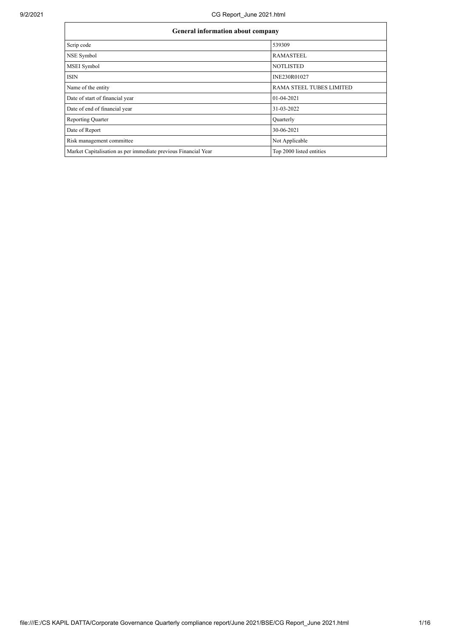| <b>General information about company</b>                       |                                 |  |  |  |  |  |
|----------------------------------------------------------------|---------------------------------|--|--|--|--|--|
| Scrip code                                                     | 539309                          |  |  |  |  |  |
| NSE Symbol                                                     | <b>RAMASTEEL</b>                |  |  |  |  |  |
| <b>MSEI</b> Symbol                                             | <b>NOTLISTED</b>                |  |  |  |  |  |
| <b>ISIN</b>                                                    | INE230R01027                    |  |  |  |  |  |
| Name of the entity                                             | <b>RAMA STEEL TUBES LIMITED</b> |  |  |  |  |  |
| Date of start of financial year                                | $01-04-2021$                    |  |  |  |  |  |
| Date of end of financial year                                  | 31-03-2022                      |  |  |  |  |  |
| <b>Reporting Quarter</b>                                       | Ouarterly                       |  |  |  |  |  |
| Date of Report                                                 | 30-06-2021                      |  |  |  |  |  |
| Risk management committee                                      | Not Applicable                  |  |  |  |  |  |
| Market Capitalisation as per immediate previous Financial Year | Top 2000 listed entities        |  |  |  |  |  |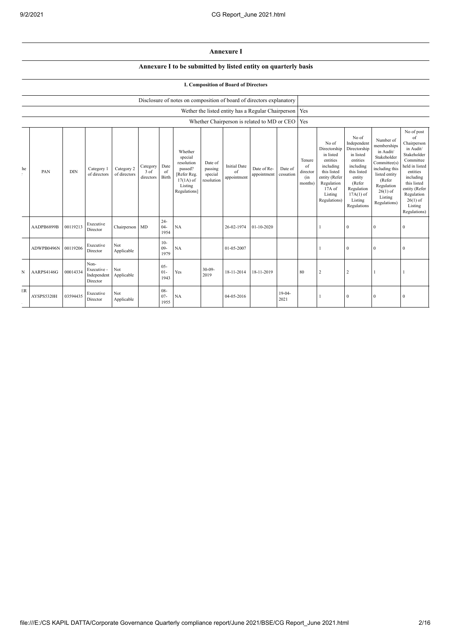## **Annexure I**

## **Annexure I to be submitted by listed entity on quarterly basis**

## **I. Composition of Board of Directors**

|    |            |            |                                                |                            |                               |                          | Disclosure of notes on composition of board of directors explanatory                                 |                                             |                                                          |                            |                      |                                            |                                                                                                                                                |                                                                                                                                                                      |                                                                                                                                                                          |                                                                                                                                                                                                            |
|----|------------|------------|------------------------------------------------|----------------------------|-------------------------------|--------------------------|------------------------------------------------------------------------------------------------------|---------------------------------------------|----------------------------------------------------------|----------------------------|----------------------|--------------------------------------------|------------------------------------------------------------------------------------------------------------------------------------------------|----------------------------------------------------------------------------------------------------------------------------------------------------------------------|--------------------------------------------------------------------------------------------------------------------------------------------------------------------------|------------------------------------------------------------------------------------------------------------------------------------------------------------------------------------------------------------|
|    |            |            |                                                |                            |                               |                          |                                                                                                      |                                             | Wether the listed entity has a Regular Chairperson   Yes |                            |                      |                                            |                                                                                                                                                |                                                                                                                                                                      |                                                                                                                                                                          |                                                                                                                                                                                                            |
|    |            |            |                                                |                            |                               |                          |                                                                                                      |                                             | Whether Chairperson is related to MD or CEO              |                            |                      | Yes                                        |                                                                                                                                                |                                                                                                                                                                      |                                                                                                                                                                          |                                                                                                                                                                                                            |
| he | PAN        | <b>DIN</b> | Category 1<br>of directors                     | Category 2<br>of directors | Category<br>3 of<br>directors | Date<br>of<br>Birth      | Whether<br>special<br>resolution<br>passed?<br>[Refer Reg.<br>$17(1A)$ of<br>Listing<br>Regulations] | Date of<br>passing<br>special<br>resolution | <b>Initial Date</b><br>of<br>appointment                 | Date of Re-<br>appointment | Date of<br>cessation | Tenure<br>of<br>director<br>(in<br>months) | No of<br>Directorship<br>in listed<br>entities<br>including<br>this listed<br>entity (Refer<br>Regulation<br>17A of<br>Listing<br>Regulations) | No of<br>Independent<br>Directorship<br>in listed<br>entities<br>including<br>this listed<br>entity<br>(Refer<br>Regulation<br>$17A(1)$ of<br>Listing<br>Regulations | Number of<br>memberships<br>in Audit/<br>Stakeholder<br>Committee(s)<br>including this<br>listed entity<br>(Refer<br>Regulation<br>$26(1)$ of<br>Listing<br>Regulations) | No of post<br>of<br>Chairperson<br>in Audit/<br>Stakeholder<br>Committee<br>held in listed<br>entities<br>including<br>this listed<br>entity (Refer<br>Regulation<br>$26(1)$ of<br>Listing<br>Regulations) |
|    | AADPB6899B | 00119213   | Executive<br>Director                          | Chairperson MD             |                               | $24 -$<br>$04 -$<br>1954 | NA                                                                                                   |                                             | 26-02-1974                                               | $01-10-2020$               |                      |                                            |                                                                                                                                                | $\mathbf{0}$                                                                                                                                                         | $\theta$                                                                                                                                                                 | $\theta$                                                                                                                                                                                                   |
|    | ADWPB0496N | 00119206   | Executive<br>Director                          | Not<br>Applicable          |                               | $10-$<br>$09 -$<br>1979  | NA                                                                                                   |                                             | 01-05-2007                                               |                            |                      |                                            | 1                                                                                                                                              | $\mathbf{0}$                                                                                                                                                         | $\theta$                                                                                                                                                                 | $\theta$                                                                                                                                                                                                   |
| N  | AARPS4146G | 00014334   | Non-<br>Executive -<br>Independent<br>Director | Not<br>Applicable          |                               | $05 -$<br>$01-$<br>1943  | Yes                                                                                                  | $30 - 09$<br>2019                           | 18-11-2014                                               | 18-11-2019                 |                      | 80                                         | 2                                                                                                                                              | $\overline{c}$                                                                                                                                                       |                                                                                                                                                                          |                                                                                                                                                                                                            |
| ER | AYSPS5320H | 03594435   | Executive<br>Director                          | Not<br>Applicable          |                               | $08 -$<br>$07 -$<br>1955 | NA                                                                                                   |                                             | 04-05-2016                                               |                            | $19-04-$<br>2021     |                                            |                                                                                                                                                | $\bf{0}$                                                                                                                                                             | $\Omega$                                                                                                                                                                 | $\Omega$                                                                                                                                                                                                   |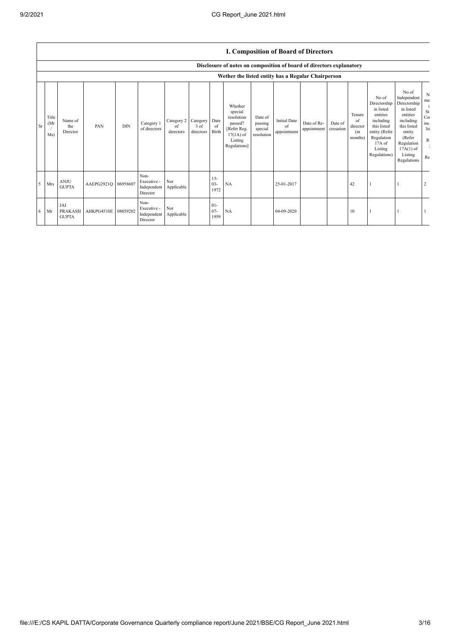|           |                      | I. Composition of Board of Directors  |                     |            |                                                |                               |                               |                          |                                                                                                      |                                             |                                          |                            |                      |                                            |                                                                                                                                                |                                                                                                                                                                      |                                               |
|-----------|----------------------|---------------------------------------|---------------------|------------|------------------------------------------------|-------------------------------|-------------------------------|--------------------------|------------------------------------------------------------------------------------------------------|---------------------------------------------|------------------------------------------|----------------------------|----------------------|--------------------------------------------|------------------------------------------------------------------------------------------------------------------------------------------------|----------------------------------------------------------------------------------------------------------------------------------------------------------------------|-----------------------------------------------|
|           |                      |                                       |                     |            |                                                |                               |                               |                          | Disclosure of notes on composition of board of directors explanatory                                 |                                             |                                          |                            |                      |                                            |                                                                                                                                                |                                                                                                                                                                      |                                               |
|           |                      |                                       |                     |            |                                                |                               |                               |                          | Wether the listed entity has a Regular Chairperson                                                   |                                             |                                          |                            |                      |                                            |                                                                                                                                                |                                                                                                                                                                      |                                               |
| <b>Sr</b> | Title<br>(Mr)<br>Ms) | Name of<br>the<br>Director            | PAN                 | <b>DIN</b> | Category 1<br>of directors                     | Category 2<br>оf<br>directors | Category<br>3 of<br>directors | Date<br>of<br>Birth      | Whether<br>special<br>resolution<br>passed?<br>[Refer Reg.<br>$17(1A)$ of<br>Listing<br>Regulations] | Date of<br>passing<br>special<br>resolution | <b>Initial Date</b><br>of<br>appointment | Date of Re-<br>appointment | Date of<br>cessation | Tenure<br>of<br>director<br>(in<br>months) | No of<br>Directorship<br>in listed<br>entities<br>including<br>this listed<br>entity (Refer<br>Regulation<br>17A of<br>Listing<br>Regulations) | No of<br>Independent<br>Directorship<br>in listed<br>entities<br>including<br>this listed<br>entity<br>(Refer<br>Regulation<br>$17A(1)$ of<br>Listing<br>Regulations | N<br>me<br>St<br>Co:<br>inc<br>lis<br>R<br>Re |
|           | Mrs                  | <b>ANJU</b><br><b>GUPTA</b>           | AAEPG2921Q 06958607 |            | Non-<br>Executive -<br>Independent<br>Director | Not<br>Applicable             |                               | $13 -$<br>$03 -$<br>1972 | NA                                                                                                   |                                             | 25-01-2017                               |                            |                      | 42                                         |                                                                                                                                                |                                                                                                                                                                      |                                               |
| 6         | Mr                   | JAI<br><b>PRAKASH</b><br><b>GUPTA</b> | AHKPG4510E 08859202 |            | Non-<br>Executive -<br>Independent<br>Director | Not<br>Applicable             |                               | $01 -$<br>$07 -$<br>1959 | NA                                                                                                   |                                             | 04-09-2020                               |                            |                      | 10                                         |                                                                                                                                                |                                                                                                                                                                      |                                               |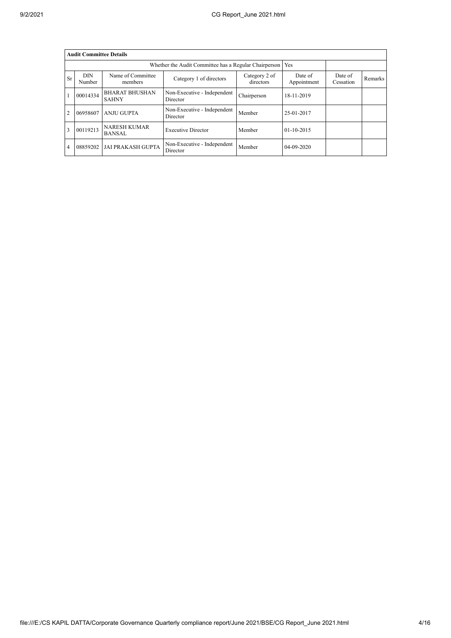|           | <b>Audit Committee Details</b> |                                       |                                         |                            |                        |                      |         |  |  |
|-----------|--------------------------------|---------------------------------------|-----------------------------------------|----------------------------|------------------------|----------------------|---------|--|--|
|           |                                | Yes                                   |                                         |                            |                        |                      |         |  |  |
| <b>Sr</b> | <b>DIN</b><br>Number           | Name of Committee<br>members          | Category 1 of directors                 | Category 2 of<br>directors | Date of<br>Appointment | Date of<br>Cessation | Remarks |  |  |
|           | 00014334                       | <b>BHARAT BHUSHAN</b><br><b>SAHNY</b> | Non-Executive - Independent<br>Director | Chairperson                | 18-11-2019             |                      |         |  |  |
| 2         | 06958607                       | <b>ANJU GUPTA</b>                     | Non-Executive - Independent<br>Director | Member                     | 25-01-2017             |                      |         |  |  |
| 3         | 00119213                       | <b>NARESH KUMAR</b><br><b>BANSAL</b>  | <b>Executive Director</b>               | Member                     | $01-10-2015$           |                      |         |  |  |
| 4         | 08859202                       | <b>JAI PRAKASH GUPTA</b>              | Non-Executive - Independent<br>Director | Member                     | $04 - 09 - 2020$       |                      |         |  |  |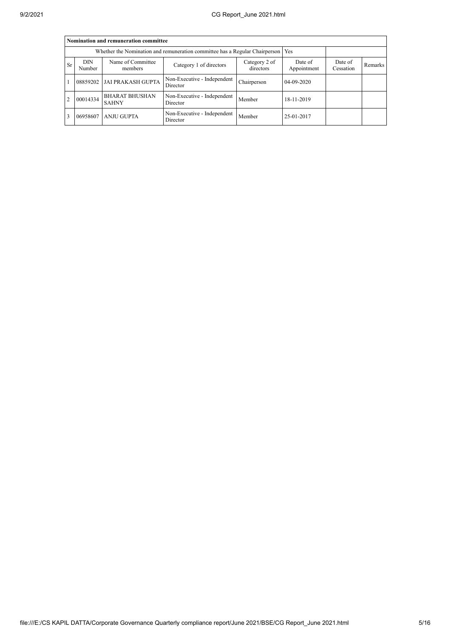|                | Nomination and remuneration committee                                             |                                       |                                         |                      |            |  |  |  |  |  |
|----------------|-----------------------------------------------------------------------------------|---------------------------------------|-----------------------------------------|----------------------|------------|--|--|--|--|--|
|                | Whether the Nomination and remuneration committee has a Regular Chairperson   Yes |                                       |                                         |                      |            |  |  |  |  |  |
| <b>Sr</b>      | <b>DIN</b><br>Number                                                              | Name of Committee<br>members          | Date of<br>Appointment                  | Date of<br>Cessation | Remarks    |  |  |  |  |  |
|                | 08859202                                                                          | <b>JAI PRAKASH GUPTA</b>              | Non-Executive - Independent<br>Director | Chairperson          | 04-09-2020 |  |  |  |  |  |
| $\overline{2}$ | 00014334                                                                          | <b>BHARAT BHUSHAN</b><br><b>SAHNY</b> | Non-Executive - Independent<br>Director | Member               | 18-11-2019 |  |  |  |  |  |
|                | 06958607                                                                          | <b>ANJU GUPTA</b>                     | Non-Executive - Independent<br>Director | Member               | 25-01-2017 |  |  |  |  |  |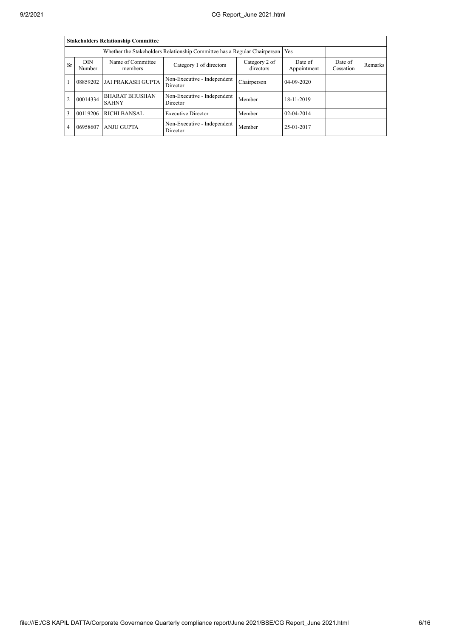|                | <b>Stakeholders Relationship Committee</b>                                       |                                       |                                         |                            |                        |                      |         |  |  |
|----------------|----------------------------------------------------------------------------------|---------------------------------------|-----------------------------------------|----------------------------|------------------------|----------------------|---------|--|--|
|                | Whether the Stakeholders Relationship Committee has a Regular Chairperson<br>Yes |                                       |                                         |                            |                        |                      |         |  |  |
| <b>Sr</b>      | <b>DIN</b><br>Number                                                             | Name of Committee<br>members          | Category 1 of directors                 | Category 2 of<br>directors | Date of<br>Appointment | Date of<br>Cessation | Remarks |  |  |
|                | 08859202                                                                         | <b>JAI PRAKASH GUPTA</b>              | Non-Executive - Independent<br>Director | Chairperson                | $04 - 09 - 2020$       |                      |         |  |  |
| $\cdot$ 2      | 00014334                                                                         | <b>BHARAT BHUSHAN</b><br><b>SAHNY</b> | Non-Executive - Independent<br>Director | Member                     | 18-11-2019             |                      |         |  |  |
| $\mathbf{3}$   | 00119206                                                                         | <b>RICHI BANSAL</b>                   | <b>Executive Director</b>               | Member                     | $02 - 04 - 2014$       |                      |         |  |  |
| $\overline{4}$ | 06958607                                                                         | <b>ANJU GUPTA</b>                     | Non-Executive - Independent<br>Director | Member                     | 25-01-2017             |                      |         |  |  |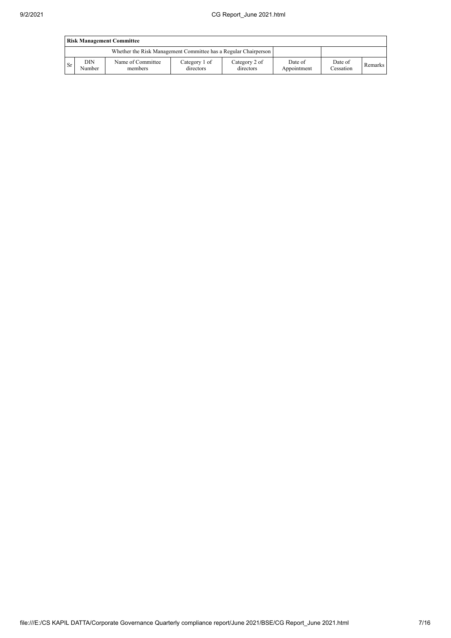|           | <b>Risk Management Committee</b> |                                                                 |                            |                            |                        |                      |         |  |  |
|-----------|----------------------------------|-----------------------------------------------------------------|----------------------------|----------------------------|------------------------|----------------------|---------|--|--|
|           |                                  | Whether the Risk Management Committee has a Regular Chairperson |                            |                            |                        |                      |         |  |  |
| <b>Sr</b> | DIN<br>Number                    | Name of Committee<br>members                                    | Category 1 of<br>directors | Category 2 of<br>directors | Date of<br>Appointment | Date of<br>Cessation | Remarks |  |  |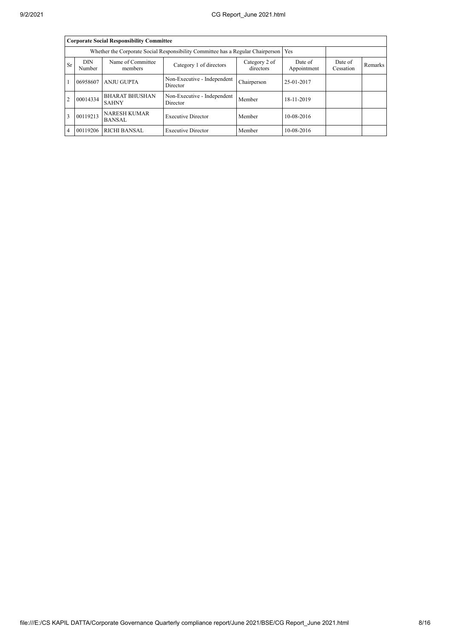|                | <b>Corporate Social Responsibility Committee</b>                                                              |                                       |                                         |             |                        |                      |                |  |  |  |
|----------------|---------------------------------------------------------------------------------------------------------------|---------------------------------------|-----------------------------------------|-------------|------------------------|----------------------|----------------|--|--|--|
|                | Whether the Corporate Social Responsibility Committee has a Regular Chairperson<br>Yes                        |                                       |                                         |             |                        |                      |                |  |  |  |
| <b>Sr</b>      | <b>DIN</b><br>Name of Committee<br>Category 2 of<br>Category 1 of directors<br>directors<br>Number<br>members |                                       |                                         |             | Date of<br>Appointment | Date of<br>Cessation | <b>Remarks</b> |  |  |  |
|                | 06958607                                                                                                      | <b>ANJU GUPTA</b>                     | Non-Executive - Independent<br>Director | Chairperson | 25-01-2017             |                      |                |  |  |  |
| $\overline{2}$ | 00014334                                                                                                      | <b>BHARAT BHUSHAN</b><br><b>SAHNY</b> | Non-Executive - Independent<br>Director | Member      | 18-11-2019             |                      |                |  |  |  |
| $\mathbf{3}$   | 00119213                                                                                                      | <b>NARESH KUMAR</b><br><b>BANSAL</b>  | <b>Executive Director</b>               | Member      | 10-08-2016             |                      |                |  |  |  |
| $\overline{4}$ | 00119206                                                                                                      | <b>RICHI BANSAL</b>                   | <b>Executive Director</b>               | Member      | 10-08-2016             |                      |                |  |  |  |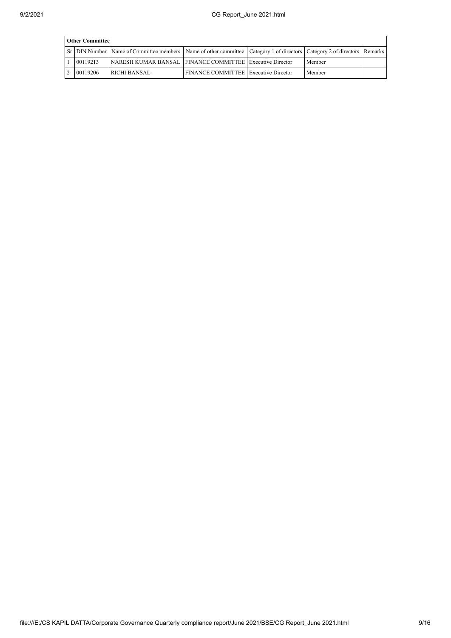| <b>Other Committee</b> |                                                                                                                                     |                                             |  |        |  |  |  |  |  |
|------------------------|-------------------------------------------------------------------------------------------------------------------------------------|---------------------------------------------|--|--------|--|--|--|--|--|
|                        | Sr   DIN Number   Name of Committee members   Name of other committee   Category 1 of directors   Category 2 of directors   Remarks |                                             |  |        |  |  |  |  |  |
| 00119213               | NARESH KUMAR BANSAL   FINANCE COMMITTEE   Executive Director                                                                        |                                             |  | Member |  |  |  |  |  |
| 00119206               | <b>RICHI BANSAL</b>                                                                                                                 | <b>FINANCE COMMITTEE</b> Executive Director |  | Member |  |  |  |  |  |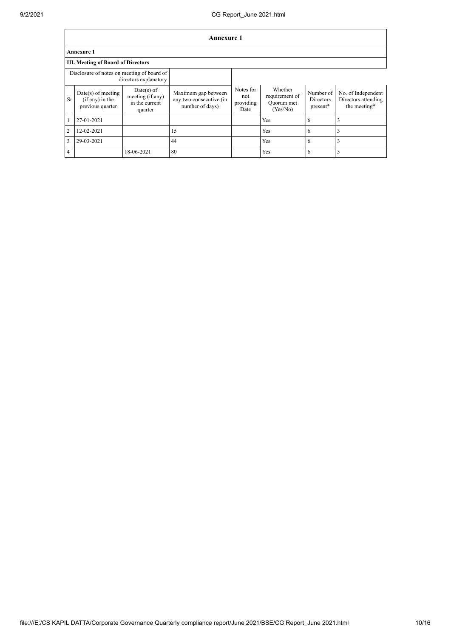$\Gamma$ 

┑

|                | Annexure 1                                                          |                                                               |                                                                   |                                       |                                                     |                                           |                                                           |  |
|----------------|---------------------------------------------------------------------|---------------------------------------------------------------|-------------------------------------------------------------------|---------------------------------------|-----------------------------------------------------|-------------------------------------------|-----------------------------------------------------------|--|
|                | <b>Annexure 1</b>                                                   |                                                               |                                                                   |                                       |                                                     |                                           |                                                           |  |
|                | <b>III. Meeting of Board of Directors</b>                           |                                                               |                                                                   |                                       |                                                     |                                           |                                                           |  |
|                | Disclosure of notes on meeting of board of<br>directors explanatory |                                                               |                                                                   |                                       |                                                     |                                           |                                                           |  |
| <b>Sr</b>      | $Date(s)$ of meeting<br>$(if any)$ in the<br>previous quarter       | $Date(s)$ of<br>meeting (if any)<br>in the current<br>quarter | Maximum gap between<br>any two consecutive (in<br>number of days) | Notes for<br>not<br>providing<br>Date | Whether<br>requirement of<br>Ouorum met<br>(Yes/No) | Number of<br><b>Directors</b><br>present* | No. of Independent<br>Directors attending<br>the meeting* |  |
| 1              | 27-01-2021                                                          |                                                               |                                                                   |                                       | Yes                                                 | 6                                         | 3                                                         |  |
| $\overline{2}$ | 12-02-2021                                                          |                                                               | 15                                                                |                                       | Yes                                                 | 6                                         | 3                                                         |  |
| $\overline{3}$ | 29-03-2021                                                          |                                                               | 44                                                                |                                       | Yes                                                 | 6                                         | 3                                                         |  |
| $\overline{4}$ |                                                                     | 18-06-2021                                                    | 80                                                                |                                       | Yes                                                 | 6                                         | 3                                                         |  |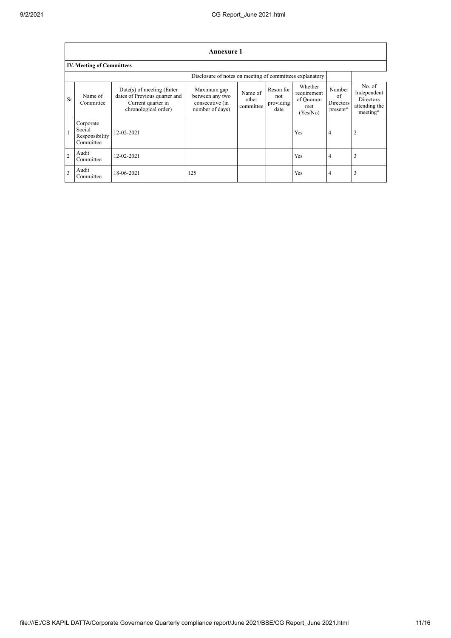$\overline{1}$ 

٦

|                | Annexure 1                                               |                                                                                                            |                                                                      |                               |                                       |                                                        |                                       |                                                                          |  |
|----------------|----------------------------------------------------------|------------------------------------------------------------------------------------------------------------|----------------------------------------------------------------------|-------------------------------|---------------------------------------|--------------------------------------------------------|---------------------------------------|--------------------------------------------------------------------------|--|
|                | <b>IV. Meeting of Committees</b>                         |                                                                                                            |                                                                      |                               |                                       |                                                        |                                       |                                                                          |  |
|                | Disclosure of notes on meeting of committees explanatory |                                                                                                            |                                                                      |                               |                                       |                                                        |                                       |                                                                          |  |
| <b>Sr</b>      | Name of<br>Committee                                     | $Date(s)$ of meeting (Enter<br>dates of Previous quarter and<br>Current quarter in<br>chronological order) | Maximum gap<br>between any two<br>consecutive (in<br>number of days) | Name of<br>other<br>committee | Reson for<br>not<br>providing<br>date | Whether<br>requirement<br>of Quorum<br>met<br>(Yes/No) | Number<br>of<br>Directors<br>present* | No. $of$<br>Independent<br><b>Directors</b><br>attending the<br>meeting* |  |
| $\vert$ 1      | Corporate<br>Social<br>Responsibility<br>Committee       | 12-02-2021                                                                                                 |                                                                      |                               |                                       | Yes                                                    | 4                                     | $\overline{\mathbf{c}}$                                                  |  |
| $\overline{2}$ | Audit<br>Committee                                       | 12-02-2021                                                                                                 |                                                                      |                               |                                       | Yes                                                    | 4                                     | 3                                                                        |  |
| 3              | Audit<br>Committee                                       | 18-06-2021                                                                                                 | 125                                                                  |                               |                                       | Yes                                                    | 4                                     | 3                                                                        |  |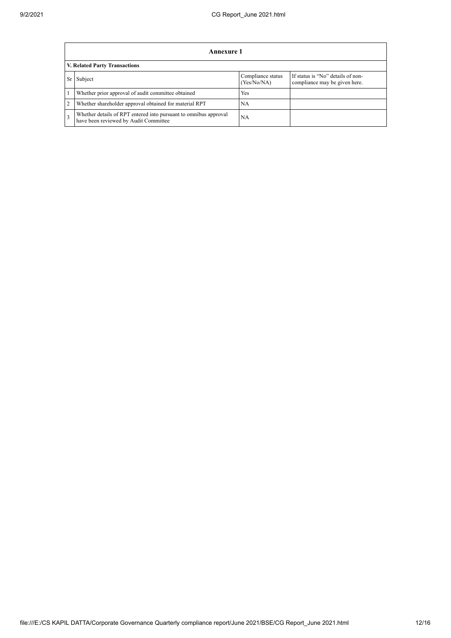|              | Annexure 1                                                                                                |                                  |                                                                    |  |  |  |  |  |
|--------------|-----------------------------------------------------------------------------------------------------------|----------------------------------|--------------------------------------------------------------------|--|--|--|--|--|
|              | V. Related Party Transactions                                                                             |                                  |                                                                    |  |  |  |  |  |
|              | Subject                                                                                                   | Compliance status<br>(Yes/No/NA) | If status is "No" details of non-<br>compliance may be given here. |  |  |  |  |  |
|              | Whether prior approval of audit committee obtained                                                        | Yes                              |                                                                    |  |  |  |  |  |
| 2            | Whether shareholder approval obtained for material RPT                                                    | NA                               |                                                                    |  |  |  |  |  |
| $\mathbf{3}$ | Whether details of RPT entered into pursuant to omnibus approval<br>have been reviewed by Audit Committee | NA                               |                                                                    |  |  |  |  |  |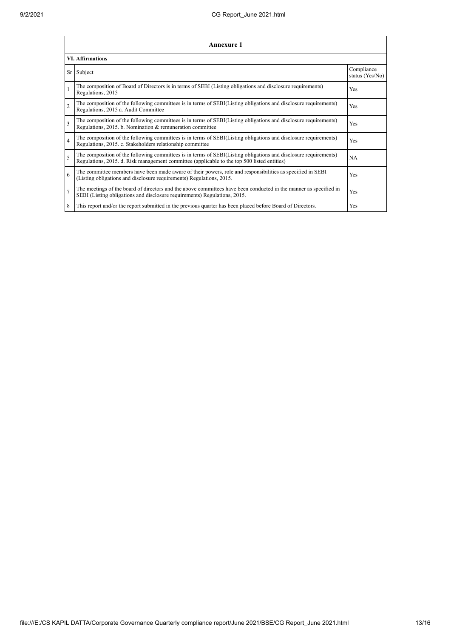| <b>Annexure 1</b>       |                                                                                                                                                                                                                 |                               |  |  |  |
|-------------------------|-----------------------------------------------------------------------------------------------------------------------------------------------------------------------------------------------------------------|-------------------------------|--|--|--|
| <b>VI. Affirmations</b> |                                                                                                                                                                                                                 |                               |  |  |  |
|                         | Sr Subject                                                                                                                                                                                                      | Compliance<br>status (Yes/No) |  |  |  |
|                         | The composition of Board of Directors is in terms of SEBI (Listing obligations and disclosure requirements)<br>Regulations, 2015                                                                                | Yes                           |  |  |  |
| $\overline{2}$          | The composition of the following committees is in terms of SEBI(Listing obligations and disclosure requirements)<br>Regulations, 2015 a. Audit Committee                                                        | Yes                           |  |  |  |
| 3                       | The composition of the following committees is in terms of SEBI(Listing obligations and disclosure requirements)<br>Regulations, 2015. b. Nomination & remuneration committee                                   | Yes                           |  |  |  |
| $\overline{4}$          | The composition of the following committees is in terms of SEBI(Listing obligations and disclosure requirements)<br>Regulations, 2015. c. Stakeholders relationship committee                                   | Yes                           |  |  |  |
| 5                       | The composition of the following committees is in terms of SEBI(Listing obligations and disclosure requirements)<br>Regulations, 2015. d. Risk management committee (applicable to the top 500 listed entities) | NA                            |  |  |  |
| 6                       | The committee members have been made aware of their powers, role and responsibilities as specified in SEBI<br>(Listing obligations and disclosure requirements) Regulations, 2015.                              | Yes                           |  |  |  |
| $\overline{7}$          | The meetings of the board of directors and the above committees have been conducted in the manner as specified in<br>SEBI (Listing obligations and disclosure requirements) Regulations, 2015.                  | Yes                           |  |  |  |
| 8                       | This report and/or the report submitted in the previous quarter has been placed before Board of Directors.                                                                                                      | Yes                           |  |  |  |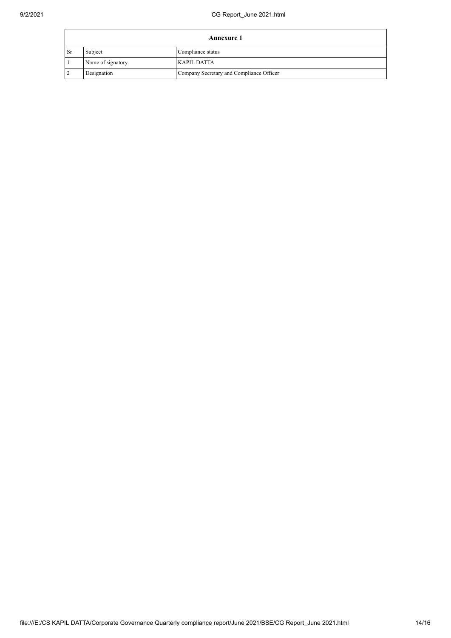| <b>Annexure 1</b> |                   |                                          |  |
|-------------------|-------------------|------------------------------------------|--|
| <b>Sr</b>         | Subject           | Compliance status                        |  |
|                   | Name of signatory | KAPIL DATTA                              |  |
| $\overline{2}$    | Designation       | Company Secretary and Compliance Officer |  |